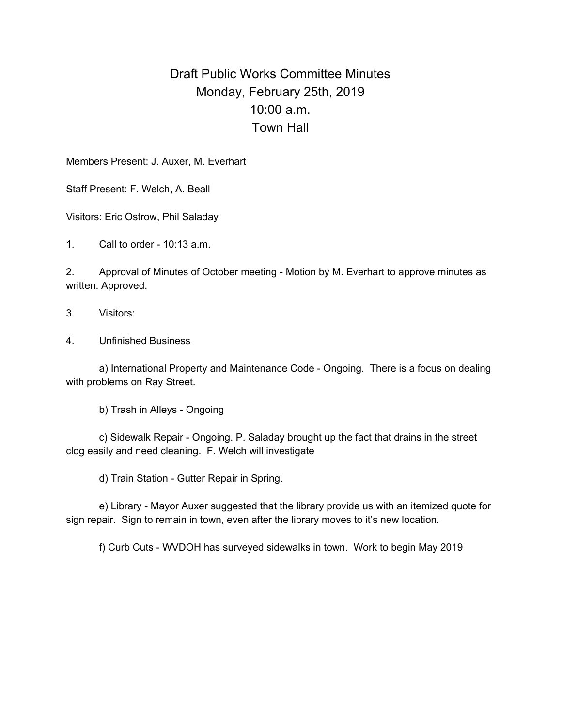## Draft Public Works Committee Minutes Monday, February 25th, 2019 10:00 a.m. Town Hall

Members Present: J. Auxer, M. Everhart

Staff Present: F. Welch, A. Beall

Visitors: Eric Ostrow, Phil Saladay

1. Call to order - 10:13 a.m.

2. Approval of Minutes of October meeting - Motion by M. Everhart to approve minutes as written. Approved.

- 3. Visitors:
- 4. Unfinished Business

a) International Property and Maintenance Code - Ongoing. There is a focus on dealing with problems on Ray Street.

b) Trash in Alleys - Ongoing

c) Sidewalk Repair - Ongoing. P. Saladay brought up the fact that drains in the street clog easily and need cleaning. F. Welch will investigate

d) Train Station - Gutter Repair in Spring.

e) Library - Mayor Auxer suggested that the library provide us with an itemized quote for sign repair. Sign to remain in town, even after the library moves to it's new location.

f) Curb Cuts - WVDOH has surveyed sidewalks in town. Work to begin May 2019